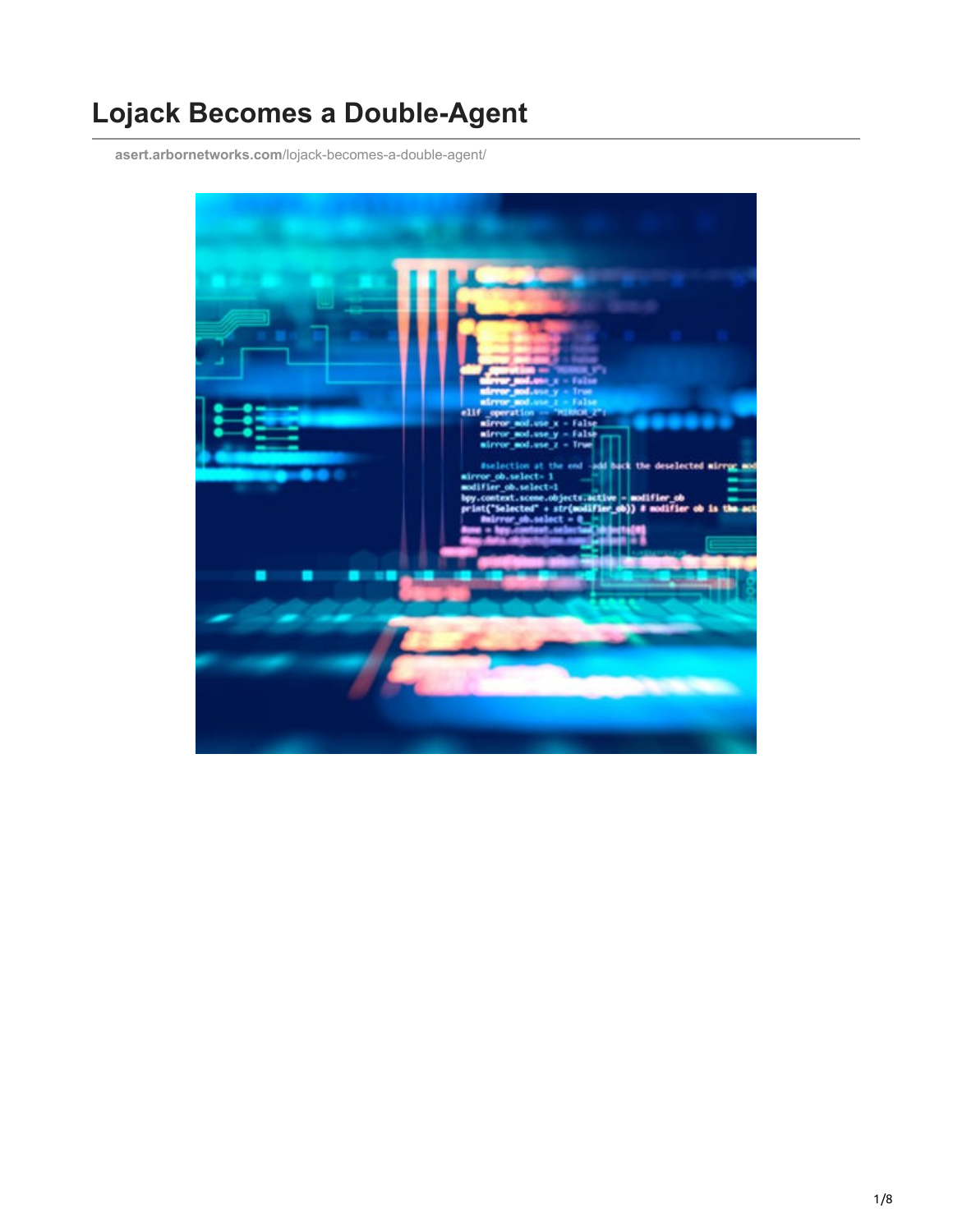# **Lojack Becomes a Double-Agent**

**asert.arbornetworks.com**[/lojack-becomes-a-double-agent/](https://asert.arbornetworks.com/lojack-becomes-a-double-agent/)

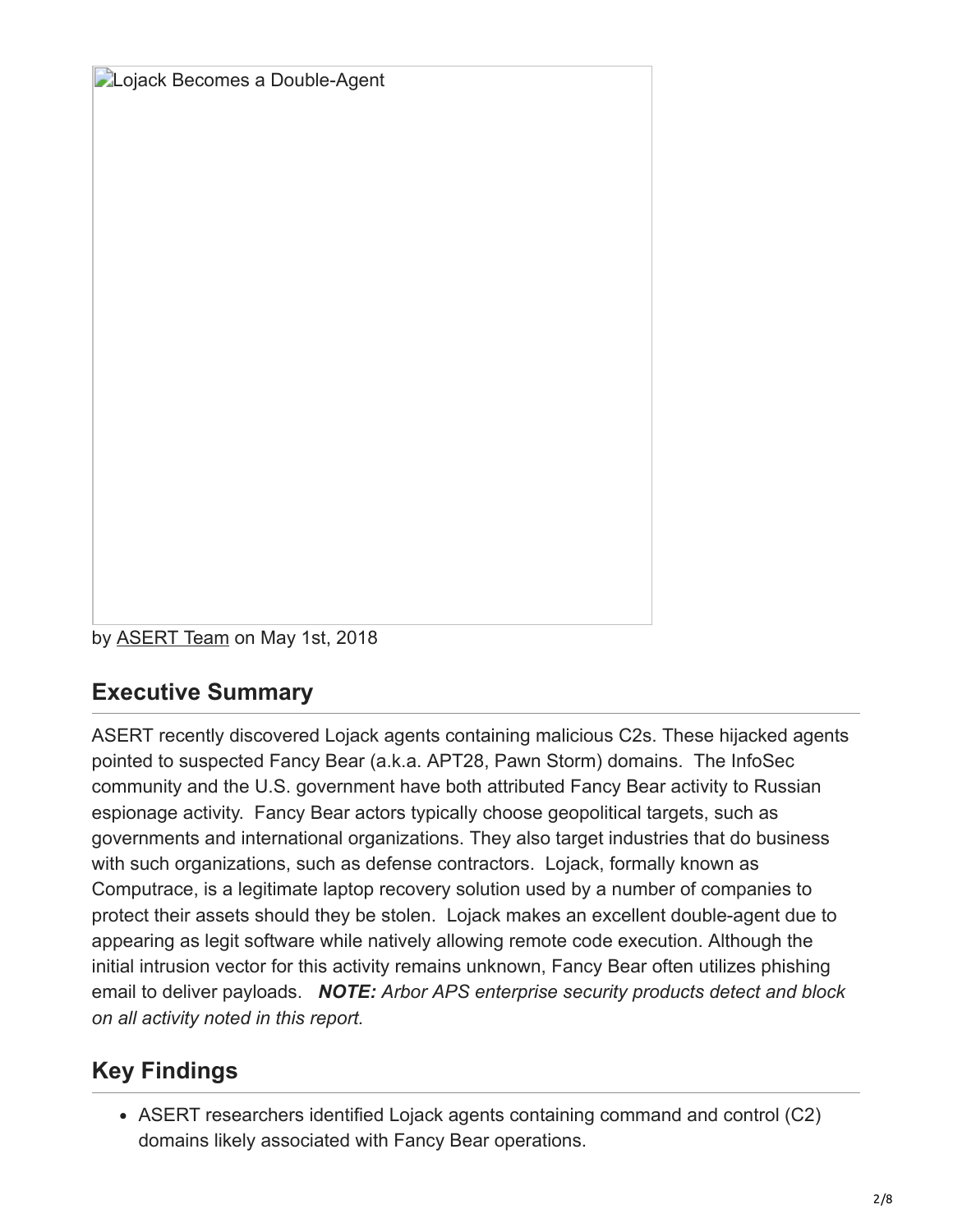**Lojack Becomes a Double-Agent** 

by [ASERT Team](https://www.netscout.com/blog/asert/asert-team) on May 1st, 2018

#### **Executive Summary**

ASERT recently discovered Lojack agents containing malicious C2s. These hijacked agents pointed to suspected Fancy Bear (a.k.a. APT28, Pawn Storm) domains. The InfoSec community and the U.S. government have both attributed Fancy Bear activity to Russian espionage activity. Fancy Bear actors typically choose geopolitical targets, such as governments and international organizations. They also target industries that do business with such organizations, such as defense contractors. Lojack, formally known as Computrace, is a legitimate laptop recovery solution used by a number of companies to protect their assets should they be stolen. Lojack makes an excellent double-agent due to appearing as legit software while natively allowing remote code execution. Although the initial intrusion vector for this activity remains unknown, Fancy Bear often utilizes phishing email to deliver payloads. *NOTE: Arbor APS enterprise security products detect and block on all activity noted in this report.*

# **Key Findings**

ASERT researchers identified Lojack agents containing command and control (C2) domains likely associated with Fancy Bear operations.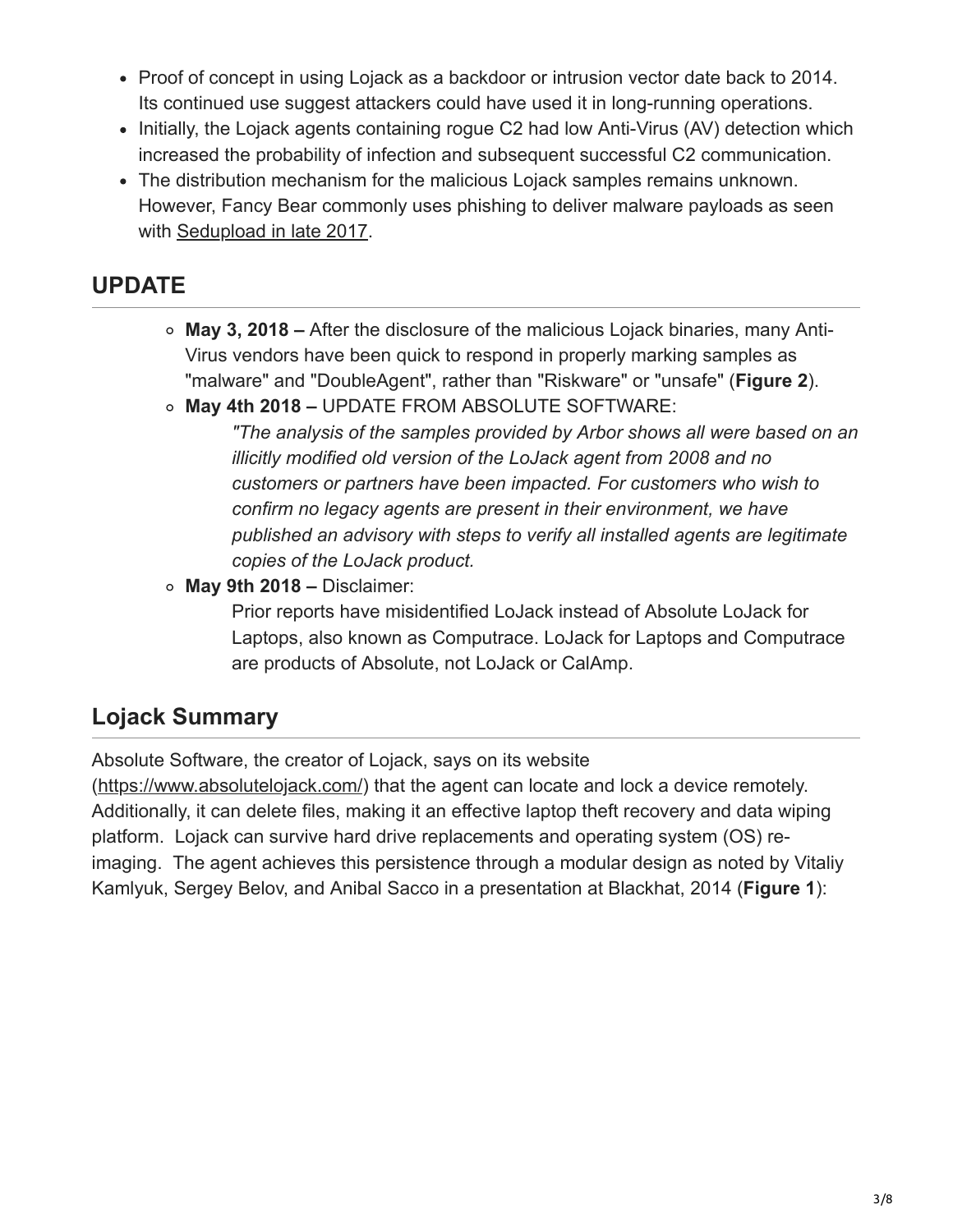- Proof of concept in using Lojack as a backdoor or intrusion vector date back to 2014. Its continued use suggest attackers could have used it in long-running operations.
- Initially, the Lojack agents containing rogue C2 had low Anti-Virus (AV) detection which increased the probability of infection and subsequent successful C2 communication.
- The distribution mechanism for the malicious Lojack samples remains unknown. However, Fancy Bear commonly uses phishing to deliver malware payloads as seen with [Sedupload in late 2017](https://www.jigsawsecurityenterprise.com/post/2017/11/01/malicious-documents-targeting-security-professionals).

#### **UPDATE**

- **May 3, 2018** After the disclosure of the malicious Lojack binaries, many Anti-Virus vendors have been quick to respond in properly marking samples as "malware" and "DoubleAgent", rather than "Riskware" or "unsafe" (**Figure 2**).
- **May 4th 2018** UPDATE FROM ABSOLUTE SOFTWARE:

*"The analysis of the samples provided by Arbor shows all were based on an illicitly modified old version of the LoJack agent from 2008 and no customers or partners have been impacted. For customers who wish to confirm no legacy agents are present in their environment, we have published an advisory with steps to verify all installed agents are legitimate copies of the LoJack product.* 

**May 9th 2018 –** Disclaimer:

Prior reports have misidentified LoJack instead of Absolute LoJack for Laptops, also known as Computrace. LoJack for Laptops and Computrace are products of Absolute, not LoJack or CalAmp.

# **Lojack Summary**

Absolute Software, the creator of Lojack, says on its website

(<https://www.absolutelojack.com/>) that the agent can locate and lock a device remotely. Additionally, it can delete files, making it an effective laptop theft recovery and data wiping platform. Lojack can survive hard drive replacements and operating system (OS) reimaging. The agent achieves this persistence through a modular design as noted by Vitaliy Kamlyuk, Sergey Belov, and Anibal Sacco in a presentation at Blackhat, 2014 (**Figure 1**):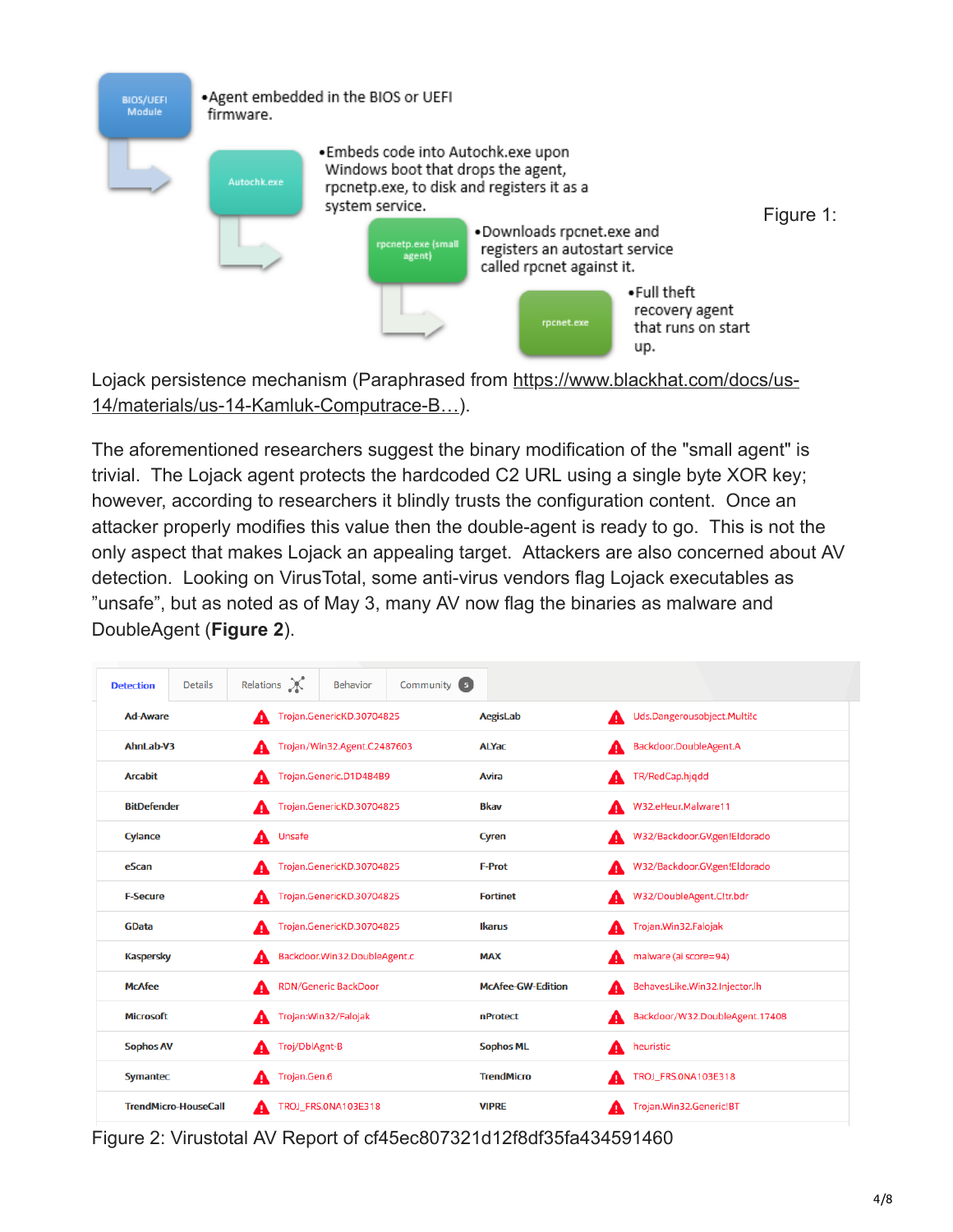

[Lojack persistence mechanism \(Paraphrased from https://www.blackhat.com/docs/us-](https://www.blackhat.com/docs/us-14/materials/us-14-Kamluk-Computrace-Backdoor-Revisited-WP.pdf)14/materials/us-14-Kamluk-Computrace-B…).

The aforementioned researchers suggest the binary modification of the "small agent" is trivial. The Lojack agent protects the hardcoded C2 URL using a single byte XOR key; however, according to researchers it blindly trusts the configuration content. Once an attacker properly modifies this value then the double-agent is ready to go. This is not the only aspect that makes Lojack an appealing target. Attackers are also concerned about AV detection. Looking on VirusTotal, some anti-virus vendors flag Lojack executables as "unsafe", but as noted as of May 3, many AV now flag the binaries as malware and DoubleAgent (**Figure 2**).

| <b>Detection</b>            | <b>Details</b>     | Relations X |                                  | <b>Behavior</b>              | Community (5) |                          |   |                                |
|-----------------------------|--------------------|-------------|----------------------------------|------------------------------|---------------|--------------------------|---|--------------------------------|
|                             | <b>Ad-Aware</b>    |             | Trojan.GenericKD.30704825<br>А   |                              |               | AegisLab                 | А | Uds.Dangerousobject.Multi!c    |
|                             | AhnLab-V3          |             | Trojan/Win32.Agent.C2487603<br>А |                              |               | <b>ALYac</b>             | А | Backdoor.DoubleAgent.A         |
| <b>Arcabit</b>              |                    |             | Trojan.Generic.D1D484B9<br>А     |                              |               | Avira                    | А | TR/RedCap.hjqdd                |
|                             | <b>BitDefender</b> |             | Trojan.GenericKD.30704825<br>A   |                              |               | <b>Bkav</b>              | А | W32.eHeur.Malware11            |
| Cylance                     |                    | A           | Unsafe                           |                              |               | Cyren                    | А | W32/Backdoor.GV.gen!Eldorado   |
| eScan                       |                    | А           |                                  | Trojan.GenericKD.30704825    |               | <b>F-Prot</b>            | А | W32/Backdoor.GV.gen!Eldorado   |
| <b>F-Secure</b>             |                    | А           |                                  | Trojan.GenericKD.30704825    |               | <b>Fortinet</b>          | А | W32/DoubleAgent.C!tr.bdr       |
| <b>GData</b>                |                    | А           |                                  | Trojan.GenericKD.30704825    |               | <b>Ikarus</b>            | А | Trojan. Win32. Falojak         |
| <b>Kaspersky</b>            |                    | А           |                                  | Backdoor.Win32.DoubleAgent.c |               | <b>MAX</b>               | А | malware (ai score=94)          |
| <b>McAfee</b>               |                    | А           |                                  | RDN/Generic BackDoor         |               | <b>McAfee-GW-Edition</b> | A | BehavesLike.Win32.Injector.lh  |
| <b>Microsoft</b>            |                    | A           |                                  | Trojan: Win32/Falojak        |               | <b>nProtect</b>          | А | Backdoor/W32.DoubleAgent.17408 |
| <b>Sophos AV</b>            |                    | А           | Troj/DblAgnt-B                   |                              |               | <b>Sophos ML</b>         | А | heuristic                      |
|                             | <b>Symantec</b>    |             | Trojan.Gen.6<br>А                |                              |               | <b>TrendMicro</b>        | А | TROJ_FRS.0NA103E318            |
| <b>TrendMicro-HouseCall</b> |                    | А           | TROJ_FRS.0NA103E318              |                              |               | <b>VIPRE</b>             | А | Trojan.Win32.Generic!BT        |

Figure 2: Virustotal AV Report of cf45ec807321d12f8df35fa434591460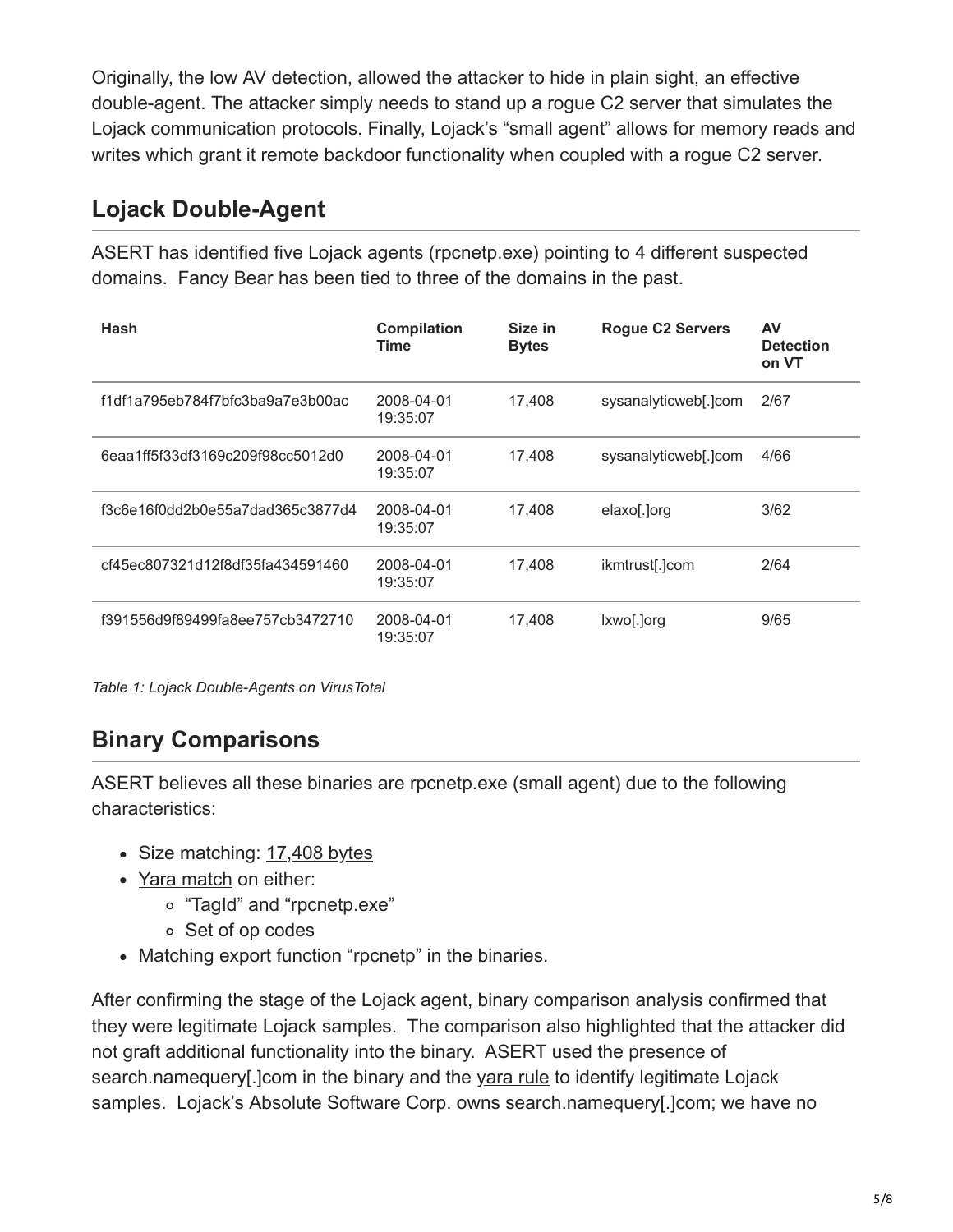Originally, the low AV detection, allowed the attacker to hide in plain sight, an effective double-agent. The attacker simply needs to stand up a rogue C2 server that simulates the Lojack communication protocols. Finally, Lojack's "small agent" allows for memory reads and writes which grant it remote backdoor functionality when coupled with a rogue C2 server.

### **Lojack Double-Agent**

ASERT has identified five Lojack agents (rpcnetp.exe) pointing to 4 different suspected domains. Fancy Bear has been tied to three of the domains in the past.

| Hash                             | <b>Compilation</b><br><b>Time</b> | Size in<br><b>Bytes</b> | <b>Rogue C2 Servers</b> | AV<br><b>Detection</b><br>on VT |
|----------------------------------|-----------------------------------|-------------------------|-------------------------|---------------------------------|
| f1df1a795eb784f7bfc3ba9a7e3b00ac | 2008-04-01<br>19:35:07            | 17.408                  | sysanalyticweb[.]com    | 2/67                            |
| 6eaa1ff5f33df3169c209f98cc5012d0 | 2008-04-01<br>19:35:07            | 17.408                  | sysanalyticweb[.]com    | 4/66                            |
| f3c6e16f0dd2b0e55a7dad365c3877d4 | 2008-04-01<br>19:35:07            | 17.408                  | elaxo[.]org             | 3/62                            |
| cf45ec807321d12f8df35fa434591460 | 2008-04-01<br>19:35:07            | 17.408                  | ikmtrust[.]com          | 2/64                            |
| f391556d9f89499fa8ee757cb3472710 | 2008-04-01<br>19:35:07            | 17.408                  | lxwo[.]org              | 9/65                            |

*Table 1: Lojack Double-Agents on VirusTotal*

# **Binary Comparisons**

ASERT believes all these binaries are rpcnetp.exe (small agent) due to the following characteristics:

- Size matching: [17,408 bytes](https://www.blackhat.com/docs/us-14/materials/us-14-Kamluk-Computrace-Backdoor-Revisited-WP.pdf)
- Yara match on either:
	- "TagId" and "rpcnetp.exe"
	- Set of op codes
- Matching export function "rpcnetp" in the binaries.

After confirming the stage of the Lojack agent, binary comparison analysis confirmed that they were legitimate Lojack samples. The comparison also highlighted that the attacker did not graft additional functionality into the binary. ASERT used the presence of search.namequery[.]com in the binary and the yara rule to identify legitimate Lojack samples. Lojack's Absolute Software Corp. owns search.namequery[.]com; we have no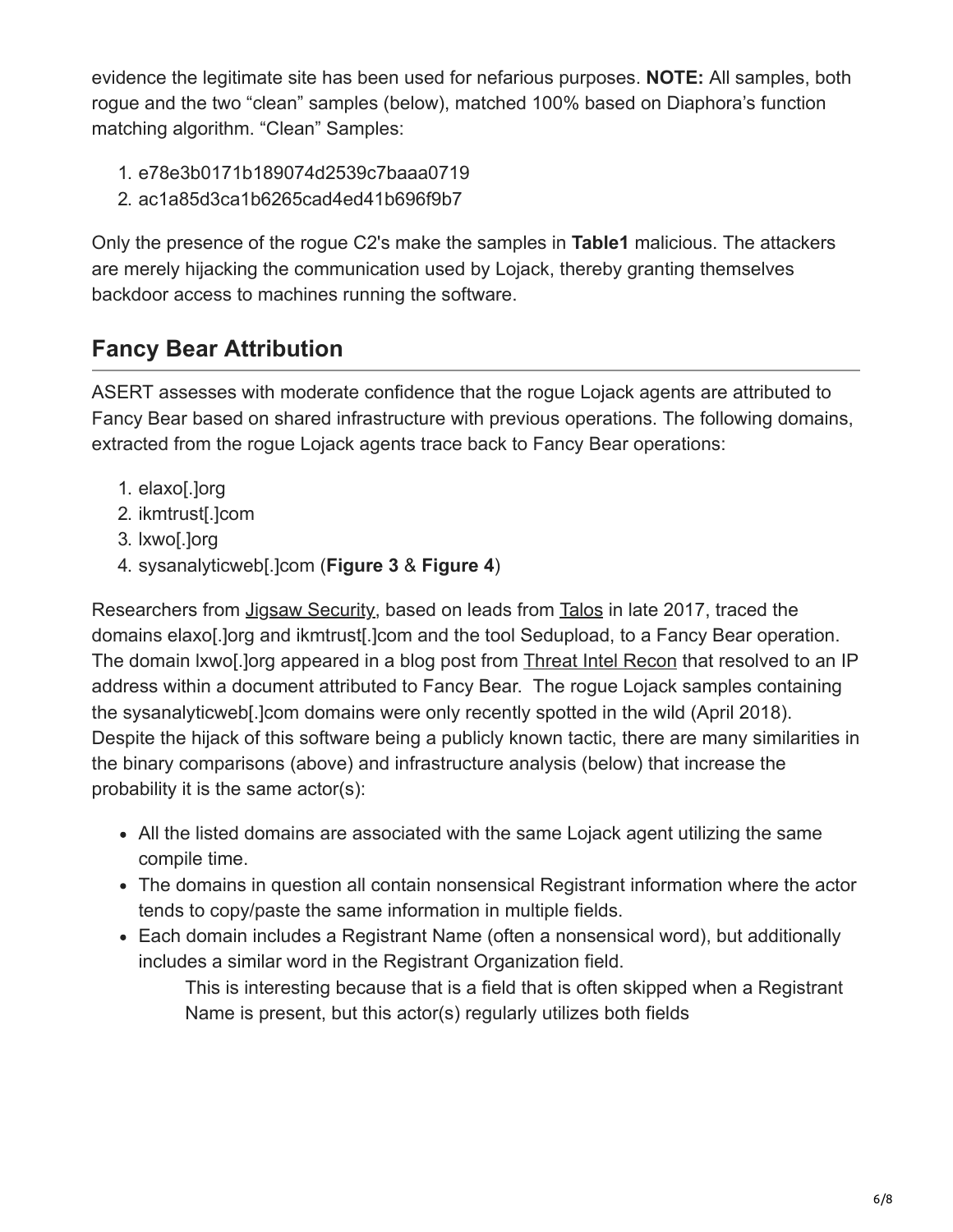evidence the legitimate site has been used for nefarious purposes. **NOTE:** All samples, both rogue and the two "clean" samples (below), matched 100% based on Diaphora's function matching algorithm. "Clean" Samples:

- 1. e78e3b0171b189074d2539c7baaa0719
- 2. ac1a85d3ca1b6265cad4ed41b696f9b7

Only the presence of the rogue C2's make the samples in **Table1** malicious. The attackers are merely hijacking the communication used by Lojack, thereby granting themselves backdoor access to machines running the software.

# **Fancy Bear Attribution**

ASERT assesses with moderate confidence that the rogue Lojack agents are attributed to Fancy Bear based on shared infrastructure with previous operations. The following domains, extracted from the rogue Lojack agents trace back to Fancy Bear operations:

- 1. elaxo[.]org
- 2. ikmtrust[.]com
- 3. lxwo[.]org
- 4. sysanalyticweb[.]com (**Figure 3** & **Figure 4**)

Researchers from [Jigsaw Security](https://www.jigsawsecurityenterprise.com/single-post/2017/11/01/Malicious-Documents-Targeting-Security-Professionals), based on leads from [Talos](https://blog.talosintelligence.com/2017/10/cyber-conflict-decoy-document.html) in late 2017, traced the domains elaxo[.]org and ikmtrust[.]com and the tool Sedupload, to a Fancy Bear operation. The domain lxwo[.]org appeared in a blog post from [Threat Intel Recon](https://threatreconblog.com/2017/02/03/apt28-malicious-document/) that resolved to an IP address within a document attributed to Fancy Bear. The rogue Lojack samples containing the sysanalyticweb[.]com domains were only recently spotted in the wild (April 2018). Despite the hijack of this software being a publicly known tactic, there are many similarities in the binary comparisons (above) and infrastructure analysis (below) that increase the probability it is the same actor(s):

- All the listed domains are associated with the same Lojack agent utilizing the same compile time.
- The domains in question all contain nonsensical Registrant information where the actor tends to copy/paste the same information in multiple fields.
- Each domain includes a Registrant Name (often a nonsensical word), but additionally includes a similar word in the Registrant Organization field.

This is interesting because that is a field that is often skipped when a Registrant Name is present, but this actor(s) regularly utilizes both fields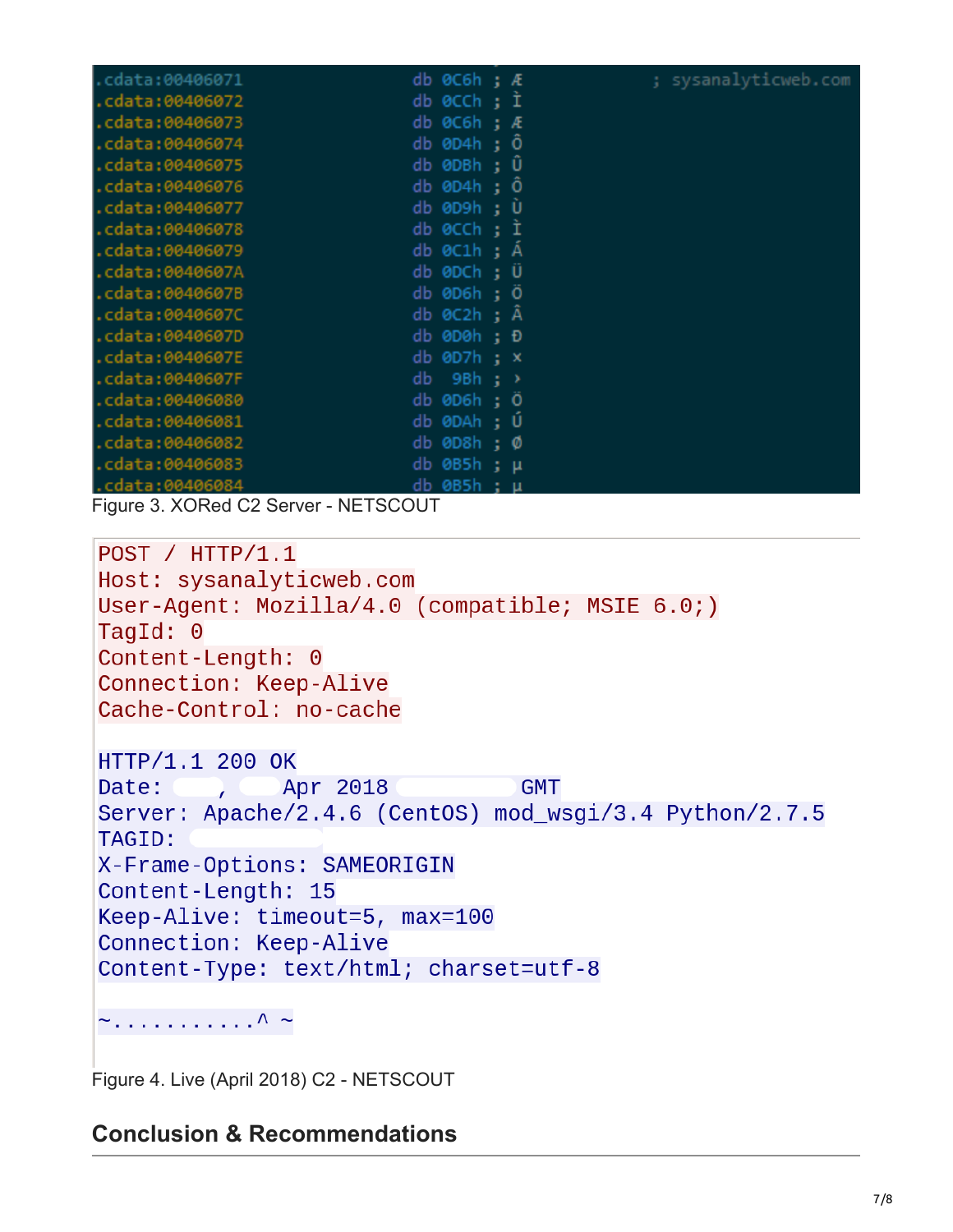| cdata:00406071. | db $\theta$ C6h; Æ          | ; sysanalyticweb.com |
|-----------------|-----------------------------|----------------------|
| .cdata:00406072 | db 0CCh ; I                 |                      |
| cdata:00406073. | $db$ $0C6h$ :<br>Æ          |                      |
| cdata:00406074. | db 0D4h ; Ö                 |                      |
| cdata:00406075. | $db$ 0DBh ; $\ddot{\theta}$ |                      |
| .cdata:00406076 | db 0D4h ; Ö                 |                      |
| .cdata:00406077 | db 0D9h ; Ù                 |                      |
| .cdata:00406078 | db 0CCh; I                  |                      |
| cdata:00406079. | db 0C1h : Á                 |                      |
| .cdata:0040607A | db 0DCh ; Ü                 |                      |
| .cdata:0040607B | db 0D6h ; Ö                 |                      |
| .cdata:0040607C | db $0C2h$ ; $\ddot{A}$      |                      |
| .cdata:0040607D | db 0D0h ; Đ                 |                      |
| .cdata:0040607E | $db$ 0D7 $h$ ; $x$          |                      |
| .cdata:0040607F | db<br>9Bh ; >               |                      |
| cdata:00406080. | db 0D6h ; Ö                 |                      |
| .cdata:00406081 | db 0DAh ; Ú                 |                      |
| .cdata:00406082 | $db$ 0D8 $h$ ; $\emptyset$  |                      |
| .cdata:00406083 | db 0B5h ; µ                 |                      |
| .cdata:00406084 | db 0B5h ; μ                 |                      |

Figure 3. XORed C2 Server - NETSCOUT

```
POST / HTTP/1.1Host: sysanalyticweb.com
User-Agent: Mozilla/4.0 (compatible; MSIE 6.0;)
TaqId: 0Content-Length: 0
Connection: Keep-Alive
Cache-Control: no-cache
HTTP/1.1 200 OK
              Apr 2018
                                 GMT
Date:
        \mathcal{L}Server: Apache/2.4.6 (CentOS) mod_wsgi/3.4 Python/2.7.5
TAGID:
X-Frame-Options: SAMEORIGIN
Content-Length: 15
Keep-Alive: timeout=5, max=100
Connection: Keep-Alive
Content-Type: text/html; charset=utf-8
```
 $\sim$  . . . . . . . . . . . .  $\wedge$   $\sim$ 

Figure 4. Live (April 2018) C2 - NETSCOUT

#### **Conclusion & Recommendations**